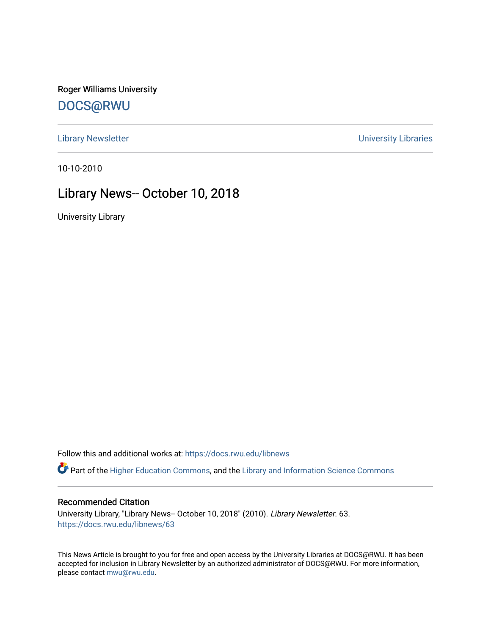Roger Williams University [DOCS@RWU](https://docs.rwu.edu/)

[Library Newsletter](https://docs.rwu.edu/libnews) **Newsletter Newsletter Newsletter Newsletter Newsletter University Libraries** 

10-10-2010

## Library News-- October 10, 2018

University Library

Follow this and additional works at: [https://docs.rwu.edu/libnews](https://docs.rwu.edu/libnews?utm_source=docs.rwu.edu%2Flibnews%2F63&utm_medium=PDF&utm_campaign=PDFCoverPages)

Part of the [Higher Education Commons,](http://network.bepress.com/hgg/discipline/1245?utm_source=docs.rwu.edu%2Flibnews%2F63&utm_medium=PDF&utm_campaign=PDFCoverPages) and the Library and Information Science Commons

#### Recommended Citation

University Library, "Library News-- October 10, 2018" (2010). Library Newsletter. 63. [https://docs.rwu.edu/libnews/63](https://docs.rwu.edu/libnews/63?utm_source=docs.rwu.edu%2Flibnews%2F63&utm_medium=PDF&utm_campaign=PDFCoverPages) 

This News Article is brought to you for free and open access by the University Libraries at DOCS@RWU. It has been accepted for inclusion in Library Newsletter by an authorized administrator of DOCS@RWU. For more information, please contact [mwu@rwu.edu.](mailto:mwu@rwu.edu)